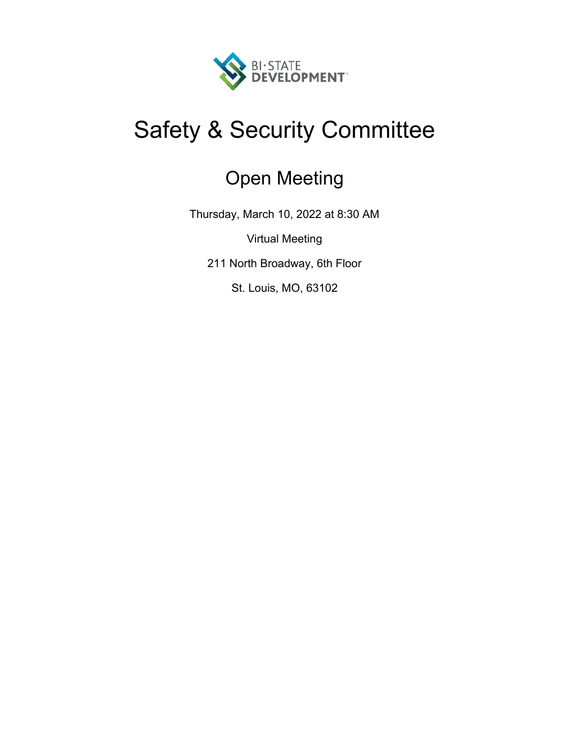

# Safety & Security Committee

# Open Meeting

Thursday, March 10, 2022 at 8:30 AM

Virtual Meeting

211 North Broadway, 6th Floor

St. Louis, MO, 63102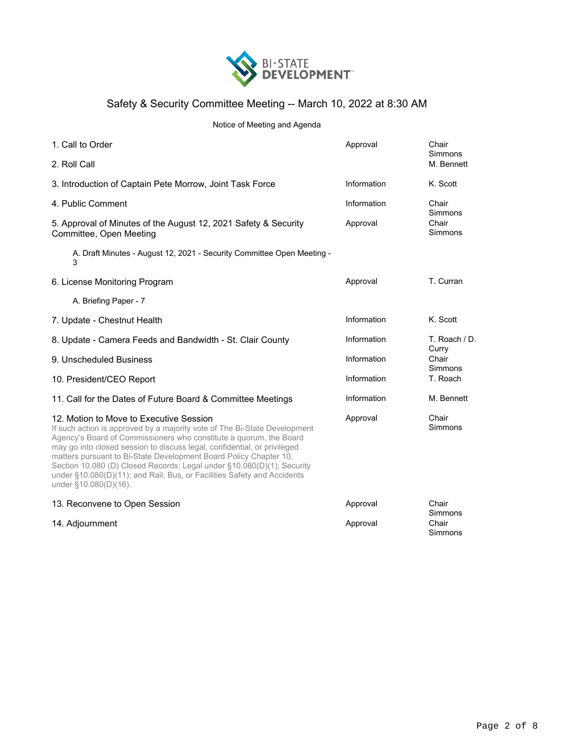

### Safety & Security Committee Meeting -- March 10, 2022 at 8:30 AM

#### Notice of Meeting and Agenda

| 1. Call to Order                                                                                                                                                                                                                                                                                                                                                                                                                                                                                                          | Approval                                                        | Chair<br>Simmons                           |  |
|---------------------------------------------------------------------------------------------------------------------------------------------------------------------------------------------------------------------------------------------------------------------------------------------------------------------------------------------------------------------------------------------------------------------------------------------------------------------------------------------------------------------------|-----------------------------------------------------------------|--------------------------------------------|--|
| 2. Roll Call                                                                                                                                                                                                                                                                                                                                                                                                                                                                                                              |                                                                 | M. Bennett                                 |  |
| 3. Introduction of Captain Pete Morrow, Joint Task Force                                                                                                                                                                                                                                                                                                                                                                                                                                                                  | Information                                                     | K. Scott                                   |  |
| 4. Public Comment                                                                                                                                                                                                                                                                                                                                                                                                                                                                                                         | Information<br>Chair<br>Simmons<br>Chair<br>Approval<br>Simmons |                                            |  |
| 5. Approval of Minutes of the August 12, 2021 Safety & Security<br>Committee, Open Meeting                                                                                                                                                                                                                                                                                                                                                                                                                                |                                                                 |                                            |  |
| A. Draft Minutes - August 12, 2021 - Security Committee Open Meeting -<br>3                                                                                                                                                                                                                                                                                                                                                                                                                                               |                                                                 |                                            |  |
| 6. License Monitoring Program                                                                                                                                                                                                                                                                                                                                                                                                                                                                                             | Approval                                                        | T. Curran                                  |  |
| A. Briefing Paper - 7                                                                                                                                                                                                                                                                                                                                                                                                                                                                                                     |                                                                 |                                            |  |
| 7. Update - Chestnut Health                                                                                                                                                                                                                                                                                                                                                                                                                                                                                               | Information                                                     | K. Scott                                   |  |
| 8. Update - Camera Feeds and Bandwidth - St. Clair County                                                                                                                                                                                                                                                                                                                                                                                                                                                                 | Information                                                     | T. Roach / D.<br>Curry<br>Chair<br>Simmons |  |
| 9. Unscheduled Business                                                                                                                                                                                                                                                                                                                                                                                                                                                                                                   | Information                                                     |                                            |  |
| 10. President/CEO Report                                                                                                                                                                                                                                                                                                                                                                                                                                                                                                  | Information                                                     | T. Roach                                   |  |
| 11. Call for the Dates of Future Board & Committee Meetings                                                                                                                                                                                                                                                                                                                                                                                                                                                               | Information                                                     | M. Bennett                                 |  |
| 12. Motion to Move to Executive Session<br>If such action is approved by a majority vote of The Bi-State Development<br>Agency's Board of Commissioners who constitute a quorum, the Board<br>may go into closed session to discuss legal, confidential, or privileged<br>matters pursuant to Bi-State Development Board Policy Chapter 10,<br>Section 10.080 (D) Closed Records: Legal under §10.080(D)(1); Security<br>under §10.080(D)(11); and Rail, Bus, or Facilities Safety and Accidents<br>under §10.080(D)(16). | Approval                                                        | Chair<br>Simmons                           |  |
| 13. Reconvene to Open Session                                                                                                                                                                                                                                                                                                                                                                                                                                                                                             | Approval                                                        | Chair<br>Simmons                           |  |
| 14. Adjournment                                                                                                                                                                                                                                                                                                                                                                                                                                                                                                           | Approval                                                        | Chair<br>Simmons                           |  |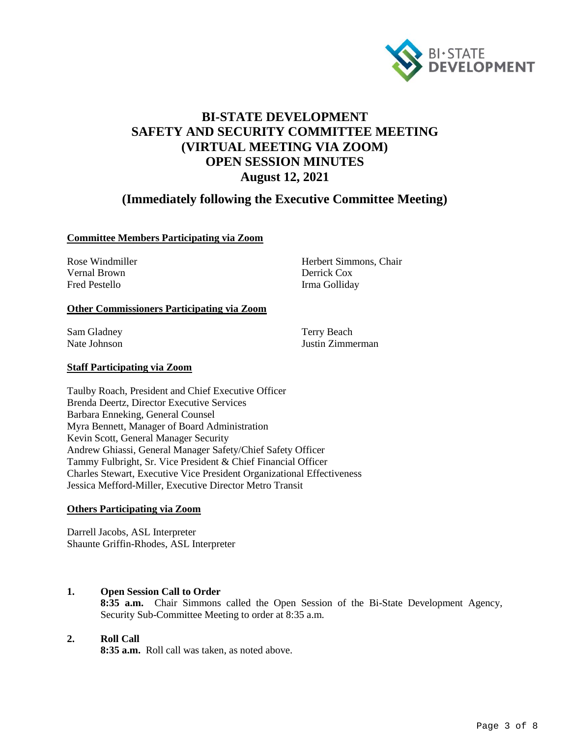

# **BI-STATE DEVELOPMENT SAFETY AND SECURITY COMMITTEE MEETING (VIRTUAL MEETING VIA ZOOM) OPEN SESSION MINUTES August 12, 2021**

## **(Immediately following the Executive Committee Meeting)**

#### **Committee Members Participating via Zoom**

Vernal Brown Derrick Cox Fred Pestello Irma Golliday

Rose Windmiller Herbert Simmons, Chair

#### **Other Commissioners Participating via Zoom**

Sam Gladney Terry Beach

Nate Johnson Justin Zimmerman

#### **Staff Participating via Zoom**

Taulby Roach, President and Chief Executive Officer Brenda Deertz, Director Executive Services Barbara Enneking, General Counsel Myra Bennett, Manager of Board Administration Kevin Scott, General Manager Security Andrew Ghiassi, General Manager Safety/Chief Safety Officer Tammy Fulbright, Sr. Vice President & Chief Financial Officer Charles Stewart, Executive Vice President Organizational Effectiveness Jessica Mefford-Miller, Executive Director Metro Transit

#### **Others Participating via Zoom**

Darrell Jacobs, ASL Interpreter Shaunte Griffin-Rhodes, ASL Interpreter

#### **1. Open Session Call to Order**

**8:35 a.m.** Chair Simmons called the Open Session of the Bi-State Development Agency, Security Sub-Committee Meeting to order at 8:35 a.m.

#### **2. Roll Call**

**8:35 a.m.** Roll call was taken, as noted above.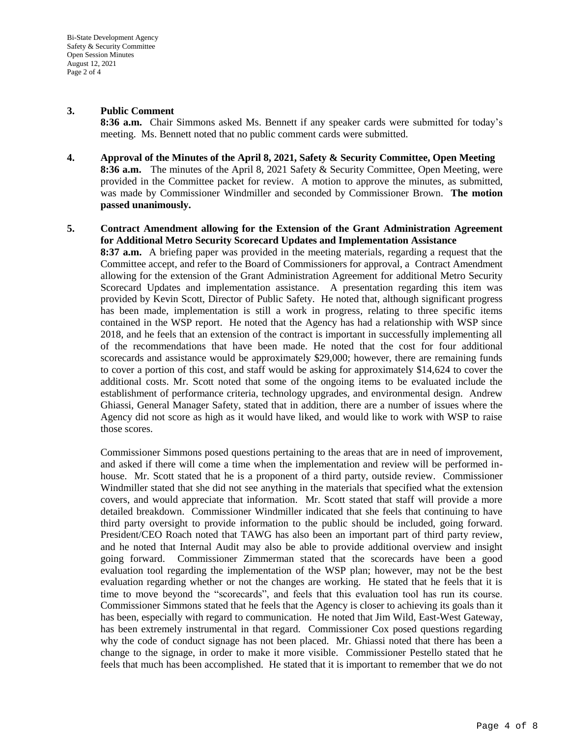#### **3. Public Comment**

**8:36 a.m.** Chair Simmons asked Ms. Bennett if any speaker cards were submitted for today's meeting. Ms. Bennett noted that no public comment cards were submitted.

**4. Approval of the Minutes of the April 8, 2021, Safety & Security Committee, Open Meeting 8:36 a.m.** The minutes of the April 8, 2021 Safety & Security Committee, Open Meeting, were provided in the Committee packet for review. A motion to approve the minutes, as submitted, was made by Commissioner Windmiller and seconded by Commissioner Brown. **The motion passed unanimously.**

#### **5. Contract Amendment allowing for the Extension of the Grant Administration Agreement for Additional Metro Security Scorecard Updates and Implementation Assistance**

**8:37 a.m.** A briefing paper was provided in the meeting materials, regarding a request that the Committee accept, and refer to the Board of Commissioners for approval, a Contract Amendment allowing for the extension of the Grant Administration Agreement for additional Metro Security Scorecard Updates and implementation assistance. A presentation regarding this item was provided by Kevin Scott, Director of Public Safety. He noted that, although significant progress has been made, implementation is still a work in progress, relating to three specific items contained in the WSP report. He noted that the Agency has had a relationship with WSP since 2018, and he feels that an extension of the contract is important in successfully implementing all of the recommendations that have been made. He noted that the cost for four additional scorecards and assistance would be approximately \$29,000; however, there are remaining funds to cover a portion of this cost, and staff would be asking for approximately \$14,624 to cover the additional costs. Mr. Scott noted that some of the ongoing items to be evaluated include the establishment of performance criteria, technology upgrades, and environmental design. Andrew Ghiassi, General Manager Safety, stated that in addition, there are a number of issues where the Agency did not score as high as it would have liked, and would like to work with WSP to raise those scores.

Commissioner Simmons posed questions pertaining to the areas that are in need of improvement, and asked if there will come a time when the implementation and review will be performed inhouse. Mr. Scott stated that he is a proponent of a third party, outside review. Commissioner Windmiller stated that she did not see anything in the materials that specified what the extension covers, and would appreciate that information. Mr. Scott stated that staff will provide a more detailed breakdown. Commissioner Windmiller indicated that she feels that continuing to have third party oversight to provide information to the public should be included, going forward. President/CEO Roach noted that TAWG has also been an important part of third party review, and he noted that Internal Audit may also be able to provide additional overview and insight going forward. Commissioner Zimmerman stated that the scorecards have been a good evaluation tool regarding the implementation of the WSP plan; however, may not be the best evaluation regarding whether or not the changes are working. He stated that he feels that it is time to move beyond the "scorecards", and feels that this evaluation tool has run its course. Commissioner Simmons stated that he feels that the Agency is closer to achieving its goals than it has been, especially with regard to communication. He noted that Jim Wild, East-West Gateway, has been extremely instrumental in that regard. Commissioner Cox posed questions regarding why the code of conduct signage has not been placed. Mr. Ghiassi noted that there has been a change to the signage, in order to make it more visible. Commissioner Pestello stated that he feels that much has been accomplished. He stated that it is important to remember that we do not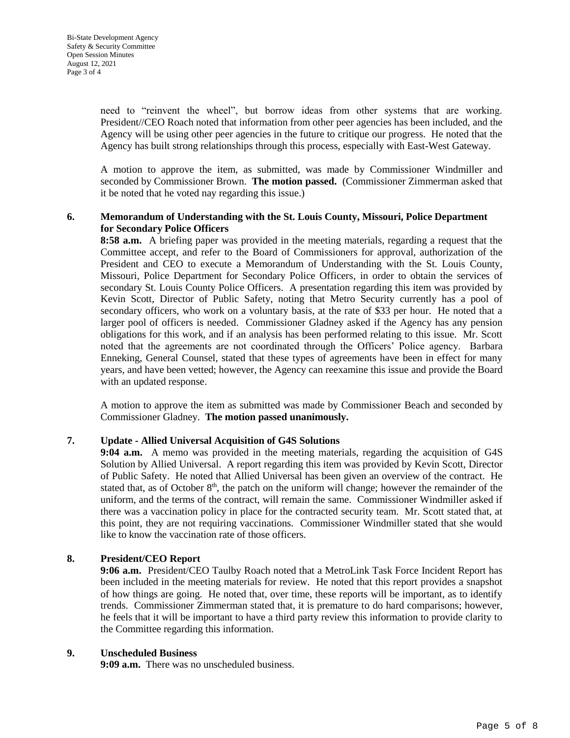need to "reinvent the wheel", but borrow ideas from other systems that are working. President//CEO Roach noted that information from other peer agencies has been included, and the Agency will be using other peer agencies in the future to critique our progress. He noted that the Agency has built strong relationships through this process, especially with East-West Gateway.

A motion to approve the item, as submitted, was made by Commissioner Windmiller and seconded by Commissioner Brown. **The motion passed.** (Commissioner Zimmerman asked that it be noted that he voted nay regarding this issue.)

#### **6. Memorandum of Understanding with the St. Louis County, Missouri, Police Department for Secondary Police Officers**

**8:58 a.m.** A briefing paper was provided in the meeting materials, regarding a request that the Committee accept, and refer to the Board of Commissioners for approval, authorization of the President and CEO to execute a Memorandum of Understanding with the St. Louis County, Missouri, Police Department for Secondary Police Officers, in order to obtain the services of secondary St. Louis County Police Officers. A presentation regarding this item was provided by Kevin Scott, Director of Public Safety, noting that Metro Security currently has a pool of secondary officers, who work on a voluntary basis, at the rate of \$33 per hour. He noted that a larger pool of officers is needed. Commissioner Gladney asked if the Agency has any pension obligations for this work, and if an analysis has been performed relating to this issue. Mr. Scott noted that the agreements are not coordinated through the Officers' Police agency. Barbara Enneking, General Counsel, stated that these types of agreements have been in effect for many years, and have been vetted; however, the Agency can reexamine this issue and provide the Board with an updated response.

A motion to approve the item as submitted was made by Commissioner Beach and seconded by Commissioner Gladney. **The motion passed unanimously.**

#### **7. Update - Allied Universal Acquisition of G4S Solutions**

**9:04 a.m.** A memo was provided in the meeting materials, regarding the acquisition of G4S Solution by Allied Universal. A report regarding this item was provided by Kevin Scott, Director of Public Safety. He noted that Allied Universal has been given an overview of the contract. He stated that, as of October  $8<sup>th</sup>$ , the patch on the uniform will change; however the remainder of the uniform, and the terms of the contract, will remain the same. Commissioner Windmiller asked if there was a vaccination policy in place for the contracted security team. Mr. Scott stated that, at this point, they are not requiring vaccinations. Commissioner Windmiller stated that she would like to know the vaccination rate of those officers.

#### **8. President/CEO Report**

**9:06 a.m.** President/CEO Taulby Roach noted that a MetroLink Task Force Incident Report has been included in the meeting materials for review. He noted that this report provides a snapshot of how things are going. He noted that, over time, these reports will be important, as to identify trends. Commissioner Zimmerman stated that, it is premature to do hard comparisons; however, he feels that it will be important to have a third party review this information to provide clarity to the Committee regarding this information.

#### **9. Unscheduled Business**

**9:09 a.m.** There was no unscheduled business.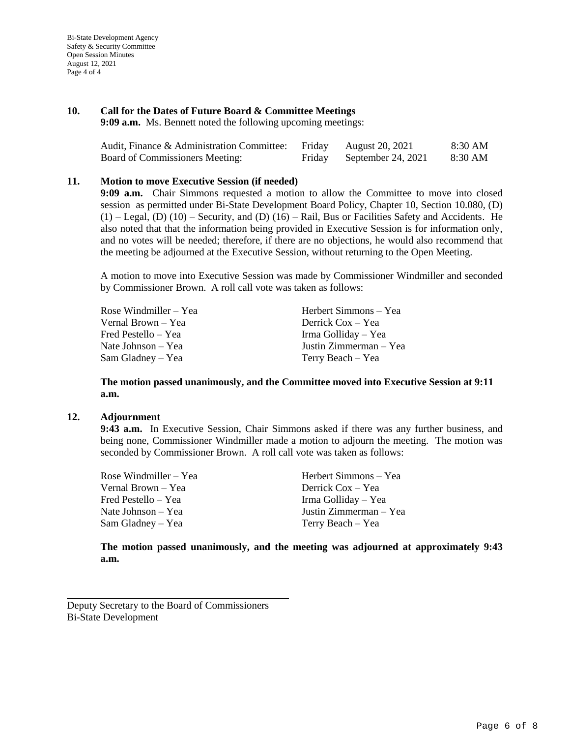#### **10. Call for the Dates of Future Board & Committee Meetings**

**9:09 a.m.** Ms. Bennett noted the following upcoming meetings:

| Audit, Finance & Administration Committee: | Friday | August 20, 2021    | 8:30 AM |
|--------------------------------------------|--------|--------------------|---------|
| Board of Commissioners Meeting:            | Friday | September 24, 2021 | 8:30 AM |

#### **11. Motion to move Executive Session (if needed)**

**9:09 a.m.** Chair Simmons requested a motion to allow the Committee to move into closed session as permitted under Bi-State Development Board Policy, Chapter 10, Section 10.080, (D)  $(1)$  – Legal,  $(D)$   $(10)$  – Security, and  $(D)$   $(16)$  – Rail, Bus or Facilities Safety and Accidents. He also noted that that the information being provided in Executive Session is for information only, and no votes will be needed; therefore, if there are no objections, he would also recommend that the meeting be adjourned at the Executive Session, without returning to the Open Meeting.

A motion to move into Executive Session was made by Commissioner Windmiller and seconded by Commissioner Brown. A roll call vote was taken as follows:

Rose Windmiller – Yea Herbert Simmons – Yea Vernal Brown – Yea Derrick Cox – Yea Fred Pestello – Yea Irma Golliday – Yea Nate Johnson – Yea Justin Zimmerman – Yea Sam Gladney – Yea Terry Beach – Yea

**The motion passed unanimously, and the Committee moved into Executive Session at 9:11 a.m.**

#### **12. Adjournment**

**9:43 a.m.** In Executive Session, Chair Simmons asked if there was any further business, and being none, Commissioner Windmiller made a motion to adjourn the meeting. The motion was seconded by Commissioner Brown. A roll call vote was taken as follows:

Rose Windmiller – Yea Herbert Simmons – Yea Vernal Brown – Yea Derrick Cox – Yea Fred Pestello – Yea Irma Golliday – Yea Nate Johnson – Yea Justin Zimmerman – Yea Sam Gladney – Yea Terry Beach – Yea

**The motion passed unanimously, and the meeting was adjourned at approximately 9:43 a.m.**

Deputy Secretary to the Board of Commissioners Bi-State Development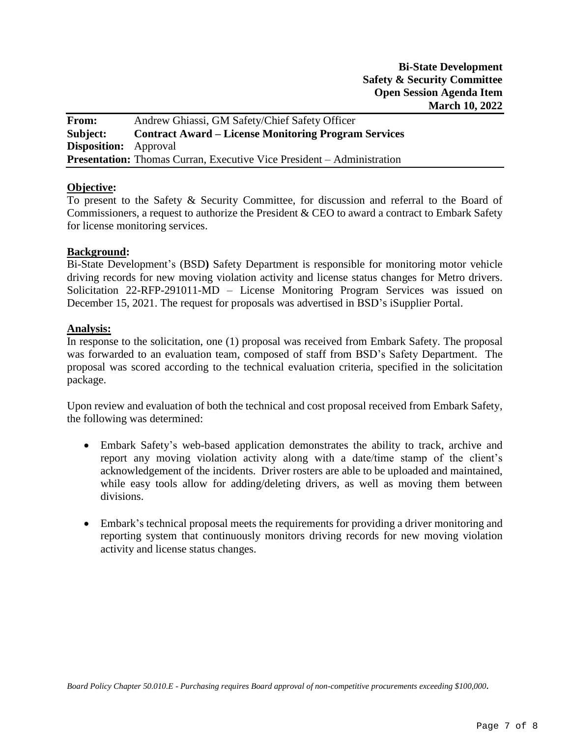**From:** Andrew Ghiassi, GM Safety/Chief Safety Officer **Subject: Contract Award – License Monitoring Program Services Disposition:** Approval **Presentation:** Thomas Curran, Executive Vice President – Administration

#### **Objective:**

To present to the Safety & Security Committee, for discussion and referral to the Board of Commissioners, a request to authorize the President & CEO to award a contract to Embark Safety for license monitoring services.

#### **Background:**

Bi-State Development's (BSD**)** Safety Department is responsible for monitoring motor vehicle driving records for new moving violation activity and license status changes for Metro drivers. Solicitation 22-RFP-291011-MD – License Monitoring Program Services was issued on December 15, 2021. The request for proposals was advertised in BSD's iSupplier Portal.

#### **Analysis:**

In response to the solicitation, one (1) proposal was received from Embark Safety. The proposal was forwarded to an evaluation team, composed of staff from BSD's Safety Department. The proposal was scored according to the technical evaluation criteria, specified in the solicitation package.

Upon review and evaluation of both the technical and cost proposal received from Embark Safety, the following was determined:

- Embark Safety's web-based application demonstrates the ability to track, archive and report any moving violation activity along with a date/time stamp of the client's acknowledgement of the incidents. Driver rosters are able to be uploaded and maintained, while easy tools allow for adding/deleting drivers, as well as moving them between divisions.
- Embark's technical proposal meets the requirements for providing a driver monitoring and reporting system that continuously monitors driving records for new moving violation activity and license status changes.